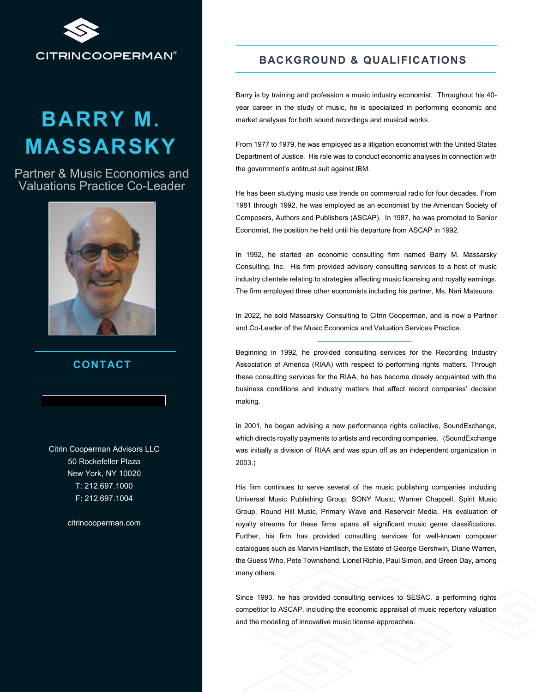

# **BARRY M. MASSARSKY**

Partner & Music Economics and Valuations Practice Co-Leader



#### **CONTACT**

Citrin Cooperman Advisors LLC 50 Rockefeller Plaza New York, NY 10020 T: 212.697.1000 F: 212.697.1004

citrincooperman.com

### **BACKGROUND & QUALIFICATIONS**

Barry is by training and profession a music industry economist. Throughout his 40 year career in the study of music, he is specialized in performing economic and market analyses for both sound recordings and musical works.

From 1977 to 1979, he was employed as a litigation economist with the United States Department of Justice. His role was to conduct economic analyses in connection with the government's antitrust suit against IBM.

He has been studying music use trends on commercial radio for four decades. From 1981 through 1992, he was employed as an economist by the American Society of Composers, Authors and Publishers (ASCAP). In 1987, he was promoted to Senior Economist, the position he held until his departure from ASCAP in 1992.

In 1992, he started an economic consulting firm named Barry M. Massarsky Consulting, Inc. His firm provided advisory consulting services to a host of music industry clientele relating to strategies affecting music licensing and royalty earnings. The firm employed three other economists including his partner, Ms. Nari Matsuura.

In 2022, he sold Massarsky Consulting to Citrin Cooperman, and is now a Partner and Co-Leader of the Music Economics and Valuation Services Practice.

Beginning in 1992, he provided consulting services for the Recording Industry Association of America (RIAA) with respect to performing rights matters. Through these consulting services for the RIAA, he has become closely acquainted with the business conditions and industry matters that affect record companies' decision making.

In 2001, he began advising a new performance rights collective, SoundExchange, which directs royalty payments to artists and recording companies. (SoundExchange was initially a division of RIAA and was spun off as an independent organization in 2003.)

His firm continues to serve several of the music publishing companies including Universal Music Publishing Group, SONY Music, Warner Chappell, Spirit Music Group, Round Hill Music, Primary Wave and Reservoir Media. His evaluation of royalty streams for these firms spans all significant music genre classifications. Further, his firm has provided consulting services for well-known composer catalogues such as Marvin Hamlisch, the Estate of George Gershwin, Diane Warren, the Guess Who, Pete Townshend, Lionel Richie, Paul Simon, and Green Day, among many others.

Since 1993, he has provided consulting services to SESAC, a performing rights competitor to ASCAP, including the economic appraisal of music repertory valuation and the modeling of innovative music license approaches.